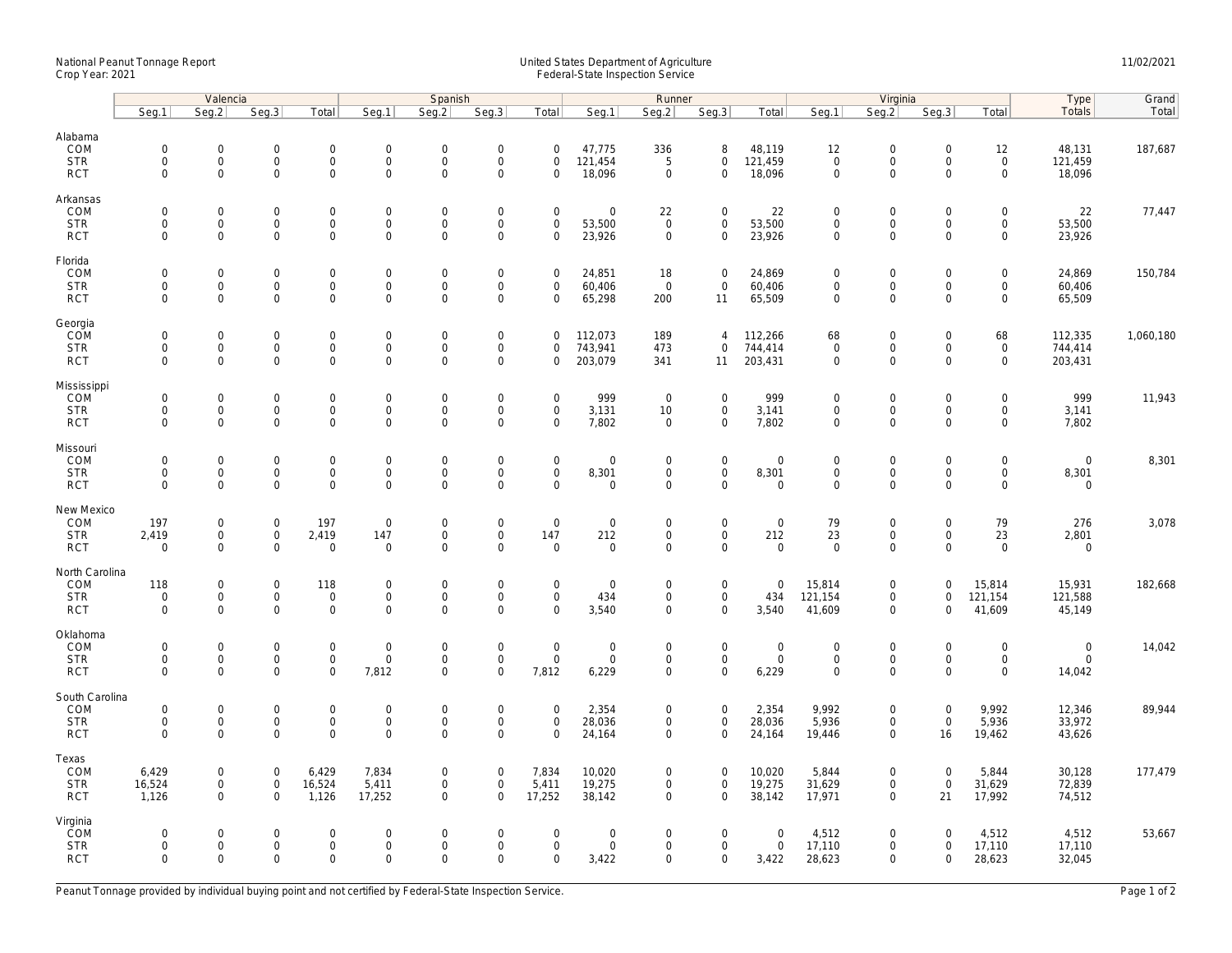## National Peanut Tonnage Report United States Department of Agriculture 11/02/2021<br>Crop Year: 2021 Federal-State Inspection Service

|                                                   | Valencia                                                  |                                                   |                                              |                                                            | Spanish                                            |                                                |                                                           |                                             |                                                   | Runner                                            |                                                   |                                      | Virginia                                                  |                                                   |                                                   |                                                                   | Type                                 | Grand     |
|---------------------------------------------------|-----------------------------------------------------------|---------------------------------------------------|----------------------------------------------|------------------------------------------------------------|----------------------------------------------------|------------------------------------------------|-----------------------------------------------------------|---------------------------------------------|---------------------------------------------------|---------------------------------------------------|---------------------------------------------------|--------------------------------------|-----------------------------------------------------------|---------------------------------------------------|---------------------------------------------------|-------------------------------------------------------------------|--------------------------------------|-----------|
|                                                   | Seg.1                                                     | Seg.2                                             | Seg.3                                        | Total                                                      | Seg.1                                              | Seq.2                                          | Seg.3                                                     | Total                                       | Seg.1                                             | Seg.2                                             | Seg.3                                             | Total                                | Seg.1                                                     | Seg.2                                             | Seg.3                                             | Total                                                             | <b>Totals</b>                        | Total     |
| Alabama<br>COM<br><b>STR</b><br><b>RCT</b>        | $\mathsf{O}\xspace$<br>$\mathsf{O}\xspace$<br>$\mathbf 0$ | 0<br>$\mathsf{O}\xspace$<br>$\mathbf{0}$          | $\mathbf 0$<br>$\mathsf 0$<br>$\mathbf 0$    | $\mathsf{O}\xspace$<br>$\mathbf 0$<br>$\mathbf{0}$         | $\boldsymbol{0}$<br>$\mathbf 0$<br>$\mathbf 0$     | $\mathbf 0$<br>$\mathbf 0$<br>$\Omega$         | $\mathsf{O}\xspace$<br>$\mathsf 0$<br>$\mathbf 0$         | $\mathbf 0$<br>$\mathbf 0$<br>$\Omega$      | 47,775<br>121,454<br>18,096                       | 336<br>5<br>$\mathbf 0$                           | 8<br>$\mathbf 0$<br>$\mathbf{0}$                  | 48,119<br>121,459<br>18,096          | 12<br>$\mathsf{O}\xspace$<br>$\mathbf 0$                  | $\mathsf{O}\xspace$<br>$\mathbf 0$<br>$\mathbf 0$ | $\mathbf 0$<br>$\mathsf{O}\xspace$<br>$\Omega$    | 12<br>$\mathsf{O}\xspace$<br>$\mathbf 0$                          | 48,131<br>121,459<br>18,096          | 187,687   |
| Arkansas<br>COM<br><b>STR</b><br><b>RCT</b>       | $\mathbf 0$<br>$\mathbf 0$<br>$\mathbf 0$                 | $\mathbf 0$<br>0<br>$\mathbf 0$                   | $\mathbf 0$<br>$\mathbf 0$<br>$\mathbf 0$    | $\mathbf 0$<br>$\mathsf{O}$<br>$\mathbf 0$                 | $\mathbf 0$<br>$\boldsymbol{0}$<br>$\mathbf 0$     | $\mathbf 0$<br>$\mathbf 0$<br>$\mathbf 0$      | $\mathbf 0$<br>$\mathsf{O}\xspace$<br>$\mathbf 0$         | $\mathbf 0$<br>$\mathbf 0$<br>$\mathbf 0$   | $\mathbf 0$<br>53,500<br>23,926                   | 22<br>$\mathbf 0$<br>$\mathbf 0$                  | $\mathbf{0}$<br>$\mathbf 0$<br>$\mathbf 0$        | 22<br>53,500<br>23,926               | $\overline{0}$<br>$\mathsf{O}\xspace$<br>$\mathbf 0$      | $\mathbf 0$<br>$\mathsf{O}\xspace$<br>$\mathbf 0$ | $\mathbf 0$<br>$\mathsf{O}\xspace$<br>$\mathbf 0$ | $\mathbf 0$<br>$\mathsf{O}\xspace$<br>$\mathbf 0$                 | 22<br>53,500<br>23,926               | 77,447    |
| Florida<br>COM<br><b>STR</b><br><b>RCT</b>        | $\mathsf{O}\xspace$<br>$\mathbf 0$<br>$\mathbf 0$         | 0<br>0<br>$\mathbf 0$                             | $\mathbf 0$<br>$\mathbf 0$<br>$\mathbf 0$    | $\mathbf 0$<br>$\mathsf{O}\xspace$<br>$\mathbf 0$          | $\mathbf 0$<br>$\mathbf 0$<br>$\mathbf 0$          | $\mathbf 0$<br>$\mathbf 0$<br>$\mathbf 0$      | $\mathsf{O}\xspace$<br>$\mathbf 0$<br>$\mathbf 0$         | $\mathbf 0$<br>$\mathbf 0$<br>$\mathbf 0$   | 24,851<br>60,406<br>65,298                        | 18<br>$\overline{0}$<br>200                       | $\mathbf 0$<br>$\mathbf 0$<br>11                  | 24,869<br>60,406<br>65,509           | $\mathbf 0$<br>$\mathbf 0$<br>$\mathbf 0$                 | $\mathbf 0$<br>$\mathbf 0$<br>$\mathbf 0$         | $\mathsf{O}\xspace$<br>$\mathbf 0$<br>$\mathbf 0$ | 0<br>$\mathsf{O}\xspace$<br>$\mathbf 0$                           | 24,869<br>60,406<br>65,509           | 150,784   |
| Georgia<br>COM<br><b>STR</b><br><b>RCT</b>        | $\mathsf{O}\xspace$<br>$\mathbf 0$<br>$\mathbf 0$         | 0<br>$\mathsf{O}\xspace$<br>$\mathbf 0$           | $\mathbf 0$<br>$\mathbf 0$<br>$\mathbf 0$    | $\mathbf 0$<br>$\mathsf{O}$<br>$\mathbf 0$                 | $\mathbf 0$<br>$\mathbf 0$<br>$\mathbf 0$          | $\mathbf 0$<br>$\mathbf 0$<br>$\mathbf 0$      | $\mathsf{O}\xspace$<br>$\mathsf 0$<br>$\mathbf 0$         | $\mathbf 0$<br>$\mathbf 0$<br>$\mathbf 0$   | 112,073<br>743,941<br>203,079                     | 189<br>473<br>341                                 | $\overline{4}$<br>$\mathbf{0}$<br>11              | 112,266<br>744,414<br>203,431        | 68<br>$\mathsf 0$<br>$\mathbf 0$                          | $\mathsf{O}\xspace$<br>$\mathbf 0$<br>$\mathbf 0$ | $\mathsf{O}\xspace$<br>$\mathbf 0$<br>$\mathbf 0$ | 68<br>$\mathsf{O}\xspace$<br>$\mathbf 0$                          | 112,335<br>744,414<br>203,431        | 1,060,180 |
| Mississippi<br>COM<br><b>STR</b><br><b>RCT</b>    | $\mathbf 0$<br>$\mathsf{O}\xspace$<br>$\mathbf 0$         | $\mathbf 0$<br>$\mathsf{O}\xspace$<br>$\mathbf 0$ | $\overline{0}$<br>$\mathbf 0$<br>$\mathbf 0$ | $\mathbf 0$<br>$\mathsf{O}$<br>$\mathbf 0$                 | $\boldsymbol{0}$<br>$\mathbf 0$<br>$\mathbf 0$     | $\mathbf 0$<br>$\mathbf 0$<br>$\mathbf 0$      | $\mathsf{O}\xspace$<br>$\mathsf 0$<br>$\mathbf 0$         | $\mathbf 0$<br>$\mathbf 0$<br>$\mathbf 0$   | 999<br>3,131<br>7,802                             | $\mathbf 0$<br>10<br>0                            | $\mathbf 0$<br>$\mathbf 0$<br>$\mathbf 0$         | 999<br>3,141<br>7,802                | $\mathbf 0$<br>$\mathsf{O}\xspace$<br>$\mathsf{O}\xspace$ | $\mathsf{O}\xspace$<br>$\mathbf 0$<br>$\mathbf 0$ | $\mathbf 0$<br>$\mathsf{O}\xspace$<br>$\mathbf 0$ | $\mathbf 0$<br>$\mathsf{O}\xspace$<br>$\mathbf 0$                 | 999<br>3,141<br>7,802                | 11,943    |
| Missouri<br>COM<br><b>STR</b><br><b>RCT</b>       | $\mathsf{O}\xspace$<br>$\mathbf 0$<br>$\mathbf 0$         | 0<br>0<br>$\mathbf 0$                             | $\mathbf 0$<br>$\mathbf 0$<br>$\mathsf 0$    | $\mathbf 0$<br>$\mathsf{O}$<br>$\mathsf{O}$                | $\mathbf 0$<br>$\mathsf{O}\xspace$<br>$\mathbf{0}$ | $\mathbf 0$<br>$\mathbf 0$<br>$\mathbf 0$      | $\mathsf{O}\xspace$<br>$\mathsf{O}\xspace$<br>$\mathbf 0$ | $\mathbf 0$<br>$\mathbf 0$<br>$\mathbf 0$   | $\mathsf{O}\xspace$<br>8,301<br>$\mathbf 0$       | $\mathbf 0$<br>$\mathbf 0$<br>$\mathbf 0$         | $\mathbf 0$<br>$\mathsf{O}\xspace$<br>$\mathbf 0$ | $\mathbf 0$<br>8,301<br>$\mathsf 0$  | $\mathbf 0$<br>$\mathbf 0$<br>$\mathbf 0$                 | $\mathbf 0$<br>$\mathsf{O}\xspace$<br>$\mathbf 0$ | $\mathbf 0$<br>$\mathbf 0$<br>$\mathbf 0$         | $\mathsf{O}\xspace$<br>$\mathsf{O}\xspace$<br>$\mathsf{O}\xspace$ | $\mathbf 0$<br>8,301<br>$\mathbf 0$  | 8,301     |
| New Mexico<br>COM<br><b>STR</b><br><b>RCT</b>     | 197<br>2,419<br>$\mathsf{O}\xspace$                       | 0<br>$\mathsf{O}\xspace$<br>0                     | $\mathbf 0$<br>$\mathsf 0$<br>$\mathbf 0$    | 197<br>2,419<br>$\mathsf 0$                                | $\mathbf 0$<br>147<br>$\mathbf 0$                  | $\mathbf 0$<br>$\mathbf 0$<br>$\Omega$         | $\mathsf{O}\xspace$<br>$\mathbf 0$<br>$\Omega$            | $\mathbf 0$<br>147<br>$\Omega$              | $\mathsf{O}\xspace$<br>212<br>$\mathsf{O}\xspace$ | $\mathbf 0$<br>$\mathbf 0$<br>$\Omega$            | $\mathbf 0$<br>$\mathbf 0$<br>$\mathbf 0$         | $\mathbf 0$<br>212<br>$\mathsf 0$    | 79<br>23<br>$\mathsf{O}\xspace$                           | $\mathsf{O}\xspace$<br>$\mathbf 0$<br>$\mathbf 0$ | $\mathsf{O}\xspace$<br>$\mathbf 0$<br>$\Omega$    | 79<br>23<br>$\mathbf 0$                                           | 276<br>2,801<br>$\mathbf 0$          | 3,078     |
| North Carolina<br>COM<br><b>STR</b><br><b>RCT</b> | 118<br>$\mathsf{O}\xspace$<br>$\mathbf 0$                 | 0<br>$\mathsf{O}\xspace$<br>$\mathbf 0$           | $\mathbf 0$<br>$\mathsf 0$<br>$\mathbf{0}$   | 118<br>$\mathbf 0$<br>$\mathbf{0}$                         | $\mathbf 0$<br>$\mathsf{O}\xspace$<br>$\mathbf 0$  | $\mathsf{O}\xspace$<br>$\mathbf 0$<br>$\Omega$ | $\mathsf{O}\xspace$<br>$\mathsf{O}\xspace$<br>$\Omega$    | $\mathbf 0$<br>$\mathbf 0$<br>$\Omega$      | $\mathbf 0$<br>434<br>3,540                       | $\mathbf 0$<br>$\mathsf{O}\xspace$<br>$\mathbf 0$ | $\mathbf 0$<br>$\mathbf 0$<br>$\mathbf{0}$        | $\mathbf 0$<br>434<br>3,540          | 15,814<br>121,154<br>41,609                               | $\mathsf{O}\xspace$<br>$\mathbf 0$<br>$\mathbf 0$ | $\mathbf 0$<br>$\mathbf 0$<br>$\Omega$            | 15,814<br>121,154<br>41,609                                       | 15,931<br>121,588<br>45,149          | 182,668   |
| Oklahoma<br>COM<br><b>STR</b><br><b>RCT</b>       | $\mathbf 0$<br>$\mathbf 0$<br>$\mathbf 0$                 | 0<br>0<br>$\mathbf 0$                             | $\mathbf 0$<br>$\mathsf 0$<br>$\mathbf 0$    | $\mathsf{O}\xspace$<br>$\mathsf{O}\xspace$<br>$\mathbf 0$  | $\mathbf 0$<br>$\boldsymbol{0}$<br>7,812           | $\mathbf 0$<br>$\mathbf 0$<br>$\mathbf 0$      | $\mathsf{O}\xspace$<br>$\mathsf{O}\xspace$<br>$\Omega$    | $\mathsf{O}\xspace$<br>$\mathbf 0$<br>7,812 | $\mathbf 0$<br>$\mathsf{O}\xspace$<br>6,229       | $\mathbf 0$<br>$\mathbf 0$<br>$\mathbf 0$         | $\mathbf{0}$<br>$\mathsf 0$<br>$\mathbf 0$        | $\mathbf 0$<br>$\mathsf{O}$<br>6,229 | $\mathbf 0$<br>$\mathsf{O}\xspace$<br>$\mathbf 0$         | $\mathbf 0$<br>$\mathsf{O}\xspace$<br>$\mathbf 0$ | $\mathbf 0$<br>$\mathbf 0$<br>$\mathbf 0$         | $\mathsf{O}\xspace$<br>$\mathsf{O}\xspace$<br>$\mathbf 0$         | $\mathbf 0$<br>$\mathbf 0$<br>14,042 | 14,042    |
| South Carolina<br>COM<br><b>STR</b><br><b>RCT</b> | $\mathsf{O}\xspace$<br>$\mathsf{O}\xspace$<br>$\mathbf 0$ | 0<br>0<br>$\mathbf 0$                             | $\mathbf 0$<br>$\mathsf 0$<br>$\mathbf 0$    | $\mathsf{O}\xspace$<br>$\mathsf{O}\xspace$<br>$\mathsf{O}$ | $\mathbf 0$<br>$\boldsymbol{0}$<br>$\mathbf{0}$    | $\mathbf 0$<br>$\mathbf 0$<br>$\mathbf 0$      | $\mathsf{O}\xspace$<br>$\mathsf{O}\xspace$<br>$\mathbf 0$ | $\mathbf 0$<br>$\mathbf 0$<br>$\mathbf 0$   | 2,354<br>28,036<br>24,164                         | 0<br>0<br>0                                       | $\mathbf 0$<br>$\mathbf 0$<br>$\mathbf 0$         | 2,354<br>28,036<br>24,164            | 9,992<br>5,936<br>19,446                                  | $\mathbf 0$<br>$\mathsf{O}\xspace$<br>$\mathbf 0$ | $\mathbf 0$<br>$\mathsf{O}\xspace$<br>16          | 9,992<br>5,936<br>19,462                                          | 12,346<br>33,972<br>43,626           | 89,944    |
| Texas<br>COM<br><b>STR</b><br><b>RCT</b>          | 6,429<br>16,524<br>1,126                                  | 0<br>0<br>$\mathbf 0$                             | $\mathsf 0$<br>$\mathbf 0$<br>$\overline{0}$ | 6,429<br>16,524<br>1,126                                   | 7,834<br>5,411<br>17,252                           | $\mathbf 0$<br>$\mathbf 0$<br>$\mathbf 0$      | $\mathsf{O}\xspace$<br>$\mathsf 0$<br>$\Omega$            | 7,834<br>5,411<br>17,252                    | 10,020<br>19,275<br>38,142                        | 0<br>0<br>$\mathbf 0$                             | $\mathbf 0$<br>$\mathbf 0$<br>$\mathbf 0$         | 10,020<br>19,275<br>38,142           | 5,844<br>31,629<br>17,971                                 | $\mathbf 0$<br>$\mathbf 0$<br>$\mathbf 0$         | $\mathbf 0$<br>$\mathsf{O}\xspace$<br>21          | 5,844<br>31,629<br>17,992                                         | 30,128<br>72,839<br>74,512           | 177,479   |
| Virginia<br>COM<br><b>STR</b><br><b>RCT</b>       | $\mathbf 0$<br>$\mathbf 0$<br>$\mathbf 0$                 | $\mathbf 0$<br>0<br>$\mathbf 0$                   | $\overline{0}$<br>$\mathbf 0$<br>$\mathbf 0$ | $\mathbf 0$<br>$\mathsf{O}$<br>$\mathbf 0$                 | $\mathbf 0$<br>$\boldsymbol{0}$<br>$\mathbf 0$     | $\mathbf 0$<br>$\mathbf 0$<br>$\Omega$         | $\mathbf 0$<br>$\mathsf{O}\xspace$<br>$\mathbf 0$         | $\mathbf 0$<br>$\mathbf 0$<br>$\mathbf 0$   | $\mathbf 0$<br>$\mathsf{O}\xspace$<br>3,422       | 0<br>0<br>0                                       | $\mathbf 0$<br>$\mathbf 0$<br>$\mathbf 0$         | $\mathbf 0$<br>$\mathsf{O}$<br>3,422 | 4,512<br>17,110<br>28,623                                 | $\mathbf 0$<br>$\mathbf 0$<br>$\mathbf 0$         | $\Omega$<br>$\mathsf{O}\xspace$<br>$\mathbf 0$    | 4,512<br>17,110<br>28,623                                         | 4,512<br>17,110<br>32,045            | 53,667    |

Peanut Tonnage provided by individual buying point and not certified by Federal-State Inspection Service. Page 1 of 2